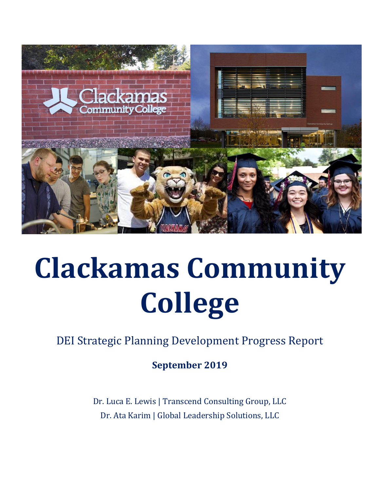

## **Clackamas Community College**

DEI Strategic Planning Development Progress Report

**September 2019**

Dr. Luca E. Lewis | Transcend Consulting Group, LLC Dr. Ata Karim | Global Leadership Solutions, LLC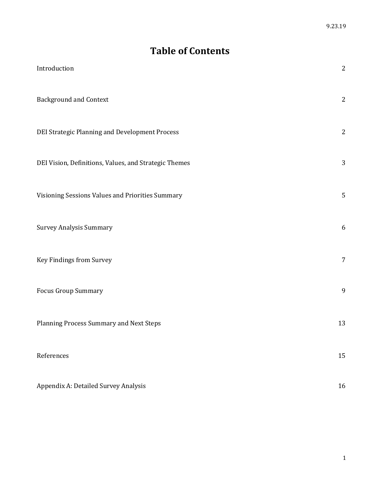### **Table of Contents**

| Introduction                                          | $\sqrt{2}$     |
|-------------------------------------------------------|----------------|
| <b>Background and Context</b>                         | $\sqrt{2}$     |
| DEI Strategic Planning and Development Process        | $\mathbf{2}$   |
| DEI Vision, Definitions, Values, and Strategic Themes | 3              |
| Visioning Sessions Values and Priorities Summary      | $\mathsf S$    |
| <b>Survey Analysis Summary</b>                        | 6              |
| Key Findings from Survey                              | $\overline{7}$ |
| <b>Focus Group Summary</b>                            | 9              |
| Planning Process Summary and Next Steps               | 13             |
| References                                            | 15             |
| Appendix A: Detailed Survey Analysis                  | 16             |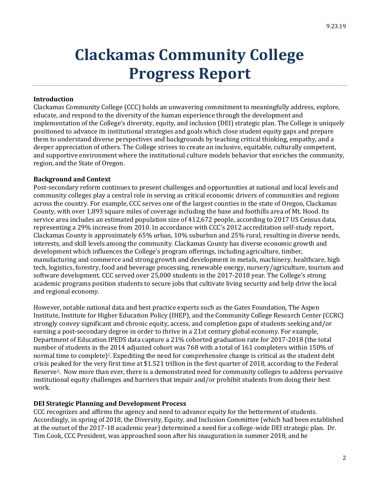### **Clackamas Community College Progress Report**

#### **Introduction**

Clackamas Community College (CCC) holds an unwavering commitment to meaningfully address, explore, educate, and respond to the diversity of the human experience through the development and implementation of the College's diversity, equity, and inclusion (DEI) strategic plan. The College is uniquely positioned to advance its institutional strategies and goals which close student equity gaps and prepare them to understand diverse perspectives and backgrounds by teaching critical thinking, empathy, and a deeper appreciation of others. The College strives to create an inclusive, equitable, culturally competent, and supportive environment where the institutional culture models behavior that enriches the community, region, and the State of Oregon.

#### **Background and Context**

Post-secondary reform continues to present challenges and opportunities at national and local levels and community colleges play a central role in serving as critical economic drivers of communities and regions across the country. For example, CCC serves one of the largest counties in the state of Oregon, Clackamas County, with over 1,893 square miles of coverage including the base and foothills area of Mt. Hood. Its service area includes an estimated population size of 412,672 people, according to 2017 US Census data, representing a 29% increase from 2010. In accordance with CCC's 2012 accreditation self-study report, Clackamas County is approximately 65% urban, 10% suburban and 25% rural, resulting in diverse needs, interests, and skill levels among the community. Clackamas County has diverse economic growth and development which influences the College's program offerings, including agriculture, timber, manufacturing and commerce and strong growth and development in metals, machinery, healthcare, high tech, logistics, forestry, food and beverage processing, renewable energy, nursery/agriculture, tourism and software development. CCC served over 25,000 students in the 2017-2018 year. The College's strong academic programs position students to secure jobs that cultivate living security and help drive the local and regional economy.

However, notable national data and best practice experts such as the Gates Foundation, The Aspen Institute, Institute for Higher Education Policy (IHEP), and the Community College Research Center (CCRC) strongly convey significant and chronic equity, access, and completion gaps of students seeking and/or earning a post-secondary degree in order to thrive in a 21st century global economy. For example, Department of Education IPEDS data capture a 21% cohorted graduation rate for 2017-2018 (the total number of students in the 2014 adjusted cohort was 768 with a total of 161 completers within 150% of normal time to complete)<sup>1</sup>. Expediting the need for comprehensive change is critical as the student debt crisis peaked for the very first time at \$1.521 trillion in the first quarter of 2018, according to the Federal Reserve2. Now more than ever, there is a demonstrated need for community colleges to address pervasive institutional equity challenges and barriers that impair and/or prohibit students from doing their best work.

#### **DEI Strategic Planning and Development Process**

CCC recognizes and affirms the agency and need to advance equity for the betterment of students. Accordingly, in spring of 2018, the Diversity, Equity, and Inclusion Committee (which had been established at the outset of the 2017-18 academic year) determined a need for a college-wide DEI strategic plan. Dr. Tim Cook, CCC President, was approached soon after his inauguration in summer 2018, and he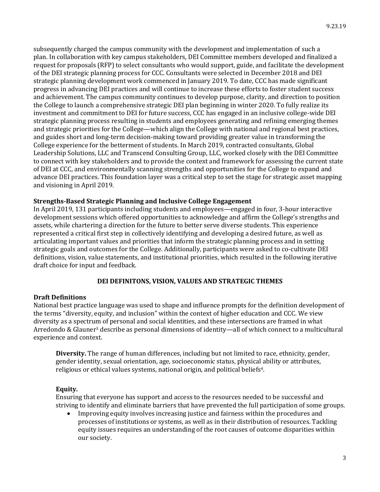subsequently charged the campus community with the development and implementation of such a plan. In collaboration with key campus stakeholders, DEI Committee members developed and finalized a request for proposals (RFP) to select consultants who would support, guide, and facilitate the development of the DEI strategic planning process for CCC. Consultants were selected in December 2018 and DEI strategic planning development work commenced in January 2019. To date, CCC has made significant progress in advancing DEI practices and will continue to increase these efforts to foster student success and achievement. The campus community continues to develop purpose, clarity, and direction to position the College to launch a comprehensive strategic DEI plan beginning in winter 2020. To fully realize its investment and commitment to DEI for future success, CCC has engaged in an inclusive college-wide DEI strategic planning process resulting in students and employees generating and refining emerging themes and strategic priorities for the College—which align the College with national and regional best practices, and guides short and long-term decision-making toward providing greater value in transforming the College experience for the betterment of students. In March 2019, contracted consultants, Global Leadership Solutions, LLC and Transcend Consulting Group, LLC, worked closely with the DEI Committee to connect with key stakeholders and to provide the context and framework for assessing the current state of DEI at CCC, and environmentally scanning strengths and opportunities for the College to expand and advance DEI practices. This foundation layer was a critical step to set the stage for strategic asset mapping and visioning in April 2019.

#### **Strengths-Based Strategic Planning and Inclusive College Engagement**

In April 2019, 131 participants including students and employees—engaged in four, 3-hour interactive development sessions which offered opportunities to acknowledge and affirm the College's strengths and assets, while chartering a direction for the future to better serve diverse students. This experience represented a critical first step in collectively identifying and developing a desired future, as well as articulating important values and priorities that inform the strategic planning process and in setting strategic goals and outcomes for the College. Additionally, participants were asked to co-cultivate DEI definitions, vision, value statements, and institutional priorities, which resulted in the following iterative draft choice for input and feedback.

#### **DEI DEFINITONS, VISION, VALUES AND STRATEGIC THEMES**

#### **Draft Definitions**

National best practice language was used to shape and influence prompts for the definition development of the terms "diversity, equity, and inclusion" within the context of higher education and CCC. We view diversity as a spectrum of personal and social identities, and these intersections are framed in what Arredondo & Glauner<sup>3</sup> describe as personal dimensions of identity—all of which connect to a multicultural experience and context.

**Diversity.** The range of human differences, including but not limited to race, ethnicity, gender, gender identity, sexual orientation, age, socioeconomic status, physical ability or attributes, religious or ethical values systems, national origin, and political beliefs<sup>4</sup>.

#### **Equity.**

Ensuring that everyone has support and access to the resources needed to be successful and striving to identify and eliminate barriers that have prevented the full participation of some groups.

 Improving equity involves increasing justice and fairness within the procedures and processes of institutions or systems, as well as in their distribution of resources. Tackling equity issues requires an understanding of the root causes of outcome disparities within our society.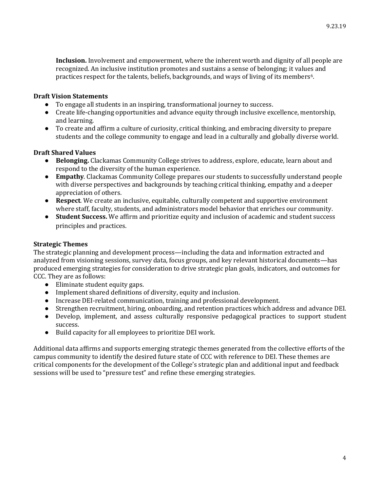**Inclusion.** Involvement and empowerment, where the inherent worth and dignity of all people are recognized. An inclusive institution promotes and sustains a sense of belonging; it values and practices respect for the talents, beliefs, backgrounds, and ways of living of its members6.

#### **Draft Vision Statements**

- To engage all students in an inspiring, transformational journey to success.
- Create life-changing opportunities and advance equity through inclusive excellence, mentorship, and learning.
- To create and affirm a culture of curiosity, critical thinking, and embracing diversity to prepare students and the college community to engage and lead in a culturally and globally diverse world.

#### **Draft Shared Values**

- **Belonging.** Clackamas Community College strives to address, explore, educate, learn about and respond to the diversity of the human experience.
- **Empathy**. Clackamas Community College prepares our students to successfully understand people with diverse perspectives and backgrounds by teaching critical thinking, empathy and a deeper appreciation of others.
- **Respect**. We create an inclusive, equitable, culturally competent and supportive environment where staff, faculty, students, and administrators model behavior that enriches our community.
- **Student Success.** We affirm and prioritize equity and inclusion of academic and student success principles and practices.

#### **Strategic Themes**

The strategic planning and development process—including the data and information extracted and analyzed from visioning sessions, survey data, focus groups, and key relevant historical documents—has produced emerging strategies for consideration to drive strategic plan goals, indicators, and outcomes for CCC. They are as follows:

- Eliminate student equity gaps.
- Implement shared definitions of diversity, equity and inclusion.
- Increase DEI-related communication, training and professional development.
- Strengthen recruitment, hiring, onboarding, and retention practices which address and advance DEI.
- Develop, implement, and assess culturally responsive pedagogical practices to support student success.
- Build capacity for all employees to prioritize DEI work.

Additional data affirms and supports emerging strategic themes generated from the collective efforts of the campus community to identify the desired future state of CCC with reference to DEI. These themes are critical components for the development of the College's strategic plan and additional input and feedback sessions will be used to "pressure test" and refine these emerging strategies.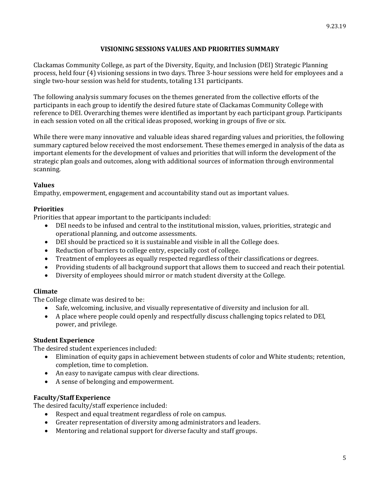#### **VISIONING SESSIONS VALUES AND PRIORITIES SUMMARY**

Clackamas Community College, as part of the Diversity, Equity, and Inclusion (DEI) Strategic Planning process, held four (4) visioning sessions in two days. Three 3-hour sessions were held for employees and a single two-hour session was held for students, totaling 131 participants.

The following analysis summary focuses on the themes generated from the collective efforts of the participants in each group to identify the desired future state of Clackamas Community College with reference to DEI. Overarching themes were identified as important by each participant group. Participants in each session voted on all the critical ideas proposed, working in groups of five or six.

While there were many innovative and valuable ideas shared regarding values and priorities, the following summary captured below received the most endorsement. These themes emerged in analysis of the data as important elements for the development of values and priorities that will inform the development of the strategic plan goals and outcomes, along with additional sources of information through environmental scanning.

#### **Values**

Empathy, empowerment, engagement and accountability stand out as important values.

#### **Priorities**

Priorities that appear important to the participants included:

- DEI needs to be infused and central to the institutional mission, values, priorities, strategic and operational planning, and outcome assessments.
- DEI should be practiced so it is sustainable and visible in all the College does.
- Reduction of barriers to college entry, especially cost of college.
- Treatment of employees as equally respected regardless of their classifications or degrees.
- Providing students of all background support that allows them to succeed and reach their potential.
- Diversity of employees should mirror or match student diversity at the College.

#### **Climate**

The College climate was desired to be:

- Safe, welcoming, inclusive, and visually representative of diversity and inclusion for all.
- A place where people could openly and respectfully discuss challenging topics related to DEI, power, and privilege.

#### **Student Experience**

The desired student experiences included:

- Elimination of equity gaps in achievement between students of color and White students; retention, completion, time to completion.
- An easy to navigate campus with clear directions.
- A sense of belonging and empowerment.

#### **Faculty/Staff Experience**

The desired faculty/staff experience included:

- Respect and equal treatment regardless of role on campus.
- Greater representation of diversity among administrators and leaders.
- Mentoring and relational support for diverse faculty and staff groups.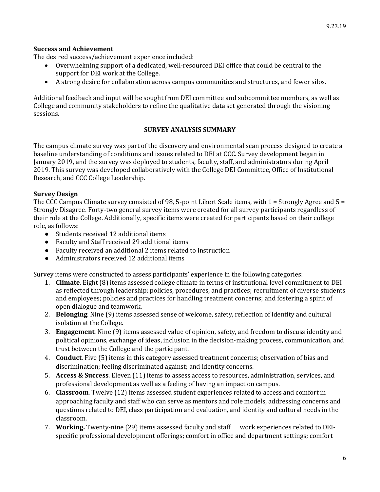#### **Success and Achievement**

The desired success/achievement experience included:

- Overwhelming support of a dedicated, well-resourced DEI office that could be central to the support for DEI work at the College.
- A strong desire for collaboration across campus communities and structures, and fewer silos.

Additional feedback and input will be sought from DEI committee and subcommittee members, as well as College and community stakeholders to refine the qualitative data set generated through the visioning sessions.

#### **SURVEY ANALYSIS SUMMARY**

The campus climate survey was part of the discovery and environmental scan process designed to create a baseline understanding of conditions and issues related to DEI at CCC. Survey development began in January 2019, and the survey was deployed to students, faculty, staff, and administrators during April 2019. This survey was developed collaboratively with the College DEI Committee, Office of Institutional Research, and CCC College Leadership.

#### **Survey Design**

The CCC Campus Climate survey consisted of 98, 5-point Likert Scale items, with 1 = Strongly Agree and 5 = Strongly Disagree. Forty-two general survey items were created for all survey participants regardless of their role at the College. Additionally, specific items were created for participants based on their college role, as follows:

- Students received 12 additional items
- Faculty and Staff received 29 additional items
- Faculty received an additional 2 items related to instruction
- Administrators received 12 additional items

Survey items were constructed to assess participants' experience in the following categories:

- 1. **Climate**. Eight (8) items assessed college climate in terms of institutional level commitment to DEI as reflected through leadership; policies, procedures, and practices; recruitment of diverse students and employees; policies and practices for handling treatment concerns; and fostering a spirit of open dialogue and teamwork.
- 2. **Belonging**. Nine (9) items assessed sense of welcome, safety, reflection of identity and cultural isolation at the College.
- 3. **Engagement**. Nine (9) items assessed value of opinion, safety, and freedom to discuss identity and political opinions, exchange of ideas, inclusion in the decision-making process, communication, and trust between the College and the participant.
- 4. **Conduct**. Five (5) items in this category assessed treatment concerns; observation of bias and discrimination; feeling discriminated against; and identity concerns.
- 5. **Access & Success**. Eleven (11) items to assess access to resources, administration, services, and professional development as well as a feeling of having an impact on campus.
- 6. **Classroom**. Twelve (12) items assessed student experiences related to access and comfort in approaching faculty and staff who can serve as mentors and role models, addressing concerns and questions related to DEI, class participation and evaluation, and identity and cultural needs in the classroom.
- 7. **Working.** Twenty-nine (29) items assessed faculty and staff work experiences related to DEIspecific professional development offerings; comfort in office and department settings; comfort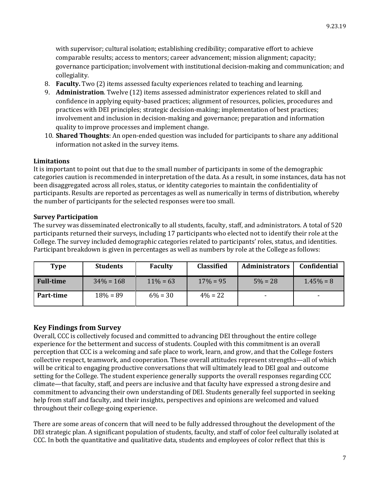with supervisor; cultural isolation; establishing credibility; comparative effort to achieve comparable results; access to mentors; career advancement; mission alignment; capacity; governance participation; involvement with institutional decision-making and communication; and collegiality.

- 8. **Faculty.** Two (2) items assessed faculty experiences related to teaching and learning.
- 9. **Administration**. Twelve (12) items assessed administrator experiences related to skill and confidence in applying equity-based practices; alignment of resources, policies, procedures and practices with DEI principles; strategic decision-making; implementation of best practices; involvement and inclusion in decision-making and governance; preparation and information quality to improve processes and implement change.
- 10. **Shared Thoughts**: An open-ended question was included for participants to share any additional information not asked in the survey items.

#### **Limitations**

It is important to point out that due to the small number of participants in some of the demographic categories caution is recommended in interpretation of the data. As a result, in some instances, data has not been disaggregated across all roles, status, or identity categories to maintain the confidentiality of participants. Results are reported as percentages as well as numerically in terms of distribution, whereby the number of participants for the selected responses were too small.

#### **Survey Participation**

The survey was disseminated electronically to all students, faculty, staff, and administrators. A total of 520 participants returned their surveys, including 17 participants who elected not to identify their role at the College. The survey included demographic categories related to participants' roles, status, and identities. Participant breakdown is given in percentages as well as numbers by role at the College as follows:

| Type             | <b>Students</b> | <b>Faculty</b> | <b>Classified</b> | <b>Administrators</b> | Confidential |
|------------------|-----------------|----------------|-------------------|-----------------------|--------------|
| <b>Full-time</b> | $34\% = 168$    | $11\% = 63$    | $17\% = 95$       | $5\% = 28$            | $1.45\% = 8$ |
| Part-time        | $18\% = 89$     | $6\% = 30$     | $4\% = 22$        |                       |              |

#### **Key Findings from Survey**

Overall, CCC is collectively focused and committed to advancing DEI throughout the entire college experience for the betterment and success of students. Coupled with this commitment is an overall perception that CCC is a welcoming and safe place to work, learn, and grow, and that the College fosters collective respect, teamwork, and cooperation. These overall attitudes represent strengths—all of which will be critical to engaging productive conversations that will ultimately lead to DEI goal and outcome setting for the College. The student experience generally supports the overall responses regarding CCC climate—that faculty, staff, and peers are inclusive and that faculty have expressed a strong desire and commitment to advancing their own understanding of DEI. Students generally feel supported in seeking help from staff and faculty, and their insights, perspectives and opinions are welcomed and valued throughout their college-going experience.

There are some areas of concern that will need to be fully addressed throughout the development of the DEI strategic plan. A significant population of students, faculty, and staff of color feel culturally isolated at CCC. In both the quantitative and qualitative data, students and employees of color reflect that this is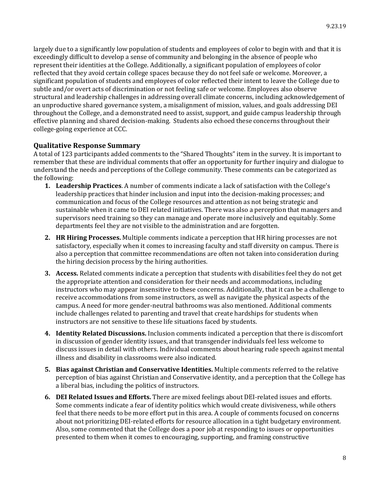largely due to a significantly low population of students and employees of color to begin with and that it is exceedingly difficult to develop a sense of community and belonging in the absence of people who represent their identities at the College. Additionally, a significant population of employees of color reflected that they avoid certain college spaces because they do not feel safe or welcome. Moreover, a significant population of students and employees of color reflected their intent to leave the College due to subtle and/or overt acts of discrimination or not feeling safe or welcome. Employees also observe structural and leadership challenges in addressing overall climate concerns, including acknowledgement of an unproductive shared governance system, a misalignment of mission, values, and goals addressing DEI throughout the College, and a demonstrated need to assist, support, and guide campus leadership through effective planning and shared decision-making. Students also echoed these concerns throughout their college-going experience at CCC.

#### **Qualitative Response Summary**

A total of 123 participants added comments to the "Shared Thoughts" item in the survey. It is important to remember that these are individual comments that offer an opportunity for further inquiry and dialogue to understand the needs and perceptions of the College community. These comments can be categorized as the following:

- **1. Leadership Practices**. A number of comments indicate a lack of satisfaction with the College's leadership practices that hinder inclusion and input into the decision-making processes; and communication and focus of the College resources and attention as not being strategic and sustainable when it came to DEI related initiatives. There was also a perception that managers and supervisors need training so they can manage and operate more inclusively and equitably. Some departments feel they are not visible to the administration and are forgotten.
- **2. HR Hiring Processes.** Multiple comments indicate a perception that HR hiring processes are not satisfactory, especially when it comes to increasing faculty and staff diversity on campus. There is also a perception that committee recommendations are often not taken into consideration during the hiring decision process by the hiring authorities.
- **3. Access.** Related comments indicate a perception that students with disabilities feel they do not get the appropriate attention and consideration for their needs and accommodations, including instructors who may appear insensitive to these concerns. Additionally, that it can be a challenge to receive accommodations from some instructors, as well as navigate the physical aspects of the campus. A need for more gender-neutral bathrooms was also mentioned. Additional comments include challenges related to parenting and travel that create hardships for students when instructors are not sensitive to these life situations faced by students.
- **4. Identity Related Discussions.** Inclusion comments indicated a perception that there is discomfort in discussion of gender identity issues, and that transgender individuals feel less welcome to discuss issues in detail with others. Individual comments about hearing rude speech against mental illness and disability in classrooms were also indicated.
- **5. Bias against Christian and Conservative Identities.** Multiple comments referred to the relative perception of bias against Christian and Conservative identity, and a perception that the College has a liberal bias, including the politics of instructors.
- **6. DEI Related Issues and Efforts.** There are mixed feelings about DEI-related issues and efforts. Some comments indicate a fear of identity politics which would create divisiveness, while others feel that there needs to be more effort put in this area. A couple of comments focused on concerns about not prioritizing DEI-related efforts for resource allocation in a tight budgetary environment. Also, some commented that the College does a poor job at responding to issues or opportunities presented to them when it comes to encouraging, supporting, and framing constructive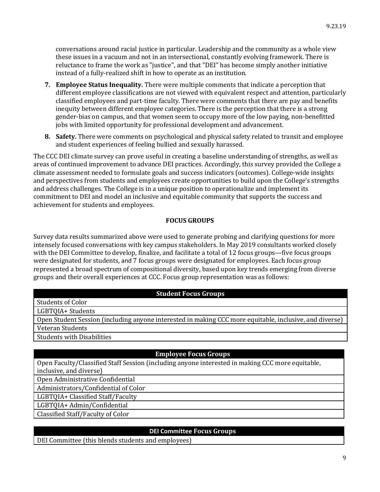conversations around racial justice in particular. Leadership and the community as a whole view these issues in a vacuum and not in an intersectional, constantly evolving framework. There is reluctance to frame the work as "justice", and that "DEI" has become simply another initiative instead of a fully-realized shift in how to operate as an institution.

- **7. Employee Status Inequality.** There were multiple comments that indicate a perception that different employee classifications are not viewed with equivalent respect and attention, particularly classified employees and part-time faculty. There were comments that there are pay and benefits inequity between different employee categories. There is the perception that there is a strong gender-bias on campus, and that women seem to occupy more of the low paying, non-benefitted jobs with limited opportunity for professional development and advancement.
- **8. Safety.** There were comments on psychological and physical safety related to transit and employee and student experiences of feeling bullied and sexually harassed.

The CCC DEI climate survey can prove useful in creating a baseline understanding of strengths, as well as areas of continued improvement to advance DEI practices. Accordingly, this survey provided the College a climate assessment needed to formulate goals and success indicators (outcomes). College-wide insights and perspectives from students and employees create opportunities to build upon the College's strengths and address challenges. The College is in a unique position to operationalize and implement its commitment to DEI and model an inclusive and equitable community that supports the success and achievement for students and employees.

#### **FOCUS GROUPS**

Survey data results summarized above were used to generate probing and clarifying questions for more intensely focused conversations with key campus stakeholders. In May 2019 consultants worked closely with the DEI Committee to develop, finalize, and facilitate a total of 12 focus groups—five focus groups were designated for students, and 7 focus groups were designated for employees. Each focus group represented a broad spectrum of compositional diversity, based upon key trends emerging from diverse groups and their overall experiences at CCC. Focus group representation was as follows:

#### **Student Focus Groups**

Students of Color LGBTQIA+ Students

Open Student Session (including anyone interested in making CCC more equitable, inclusive, and diverse) Veteran Students

Students with Disabilities

#### **Employee Focus Groups**

Open Faculty/Classified Staff Session (including anyone interested in making CCC more equitable, inclusive, and diverse)

Open Administrative Confidential

Administrators/Confidential of Color

LGBTQIA+ Classified Staff/Faculty

LGBTQIA+ Admin/Confidential

Classified Staff/Faculty of Color

#### **DEI Committee Focus Groups**

DEI Committee (this blends students and employees)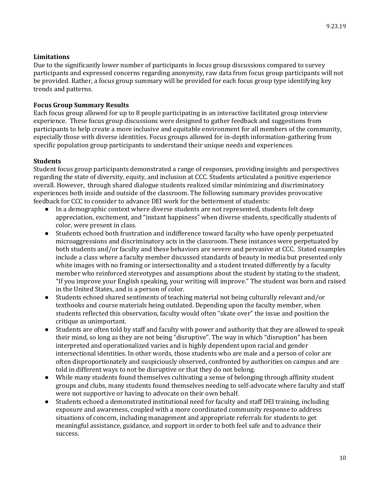#### **Limitations**

Due to the significantly lower number of participants in focus group discussions compared to survey participants and expressed concerns regarding anonymity, raw data from focus group participants will not be provided. Rather, a focus group summary will be provided for each focus group type identifying key trends and patterns.

#### **Focus Group Summary Results**

Each focus group allowed for up to 8 people participating in an interactive facilitated group interview experience. These focus group discussions were designed to gather feedback and suggestions from participants to help create a more inclusive and equitable environment for all members of the community, especially those with diverse identities. Focus groups allowed for in-depth information-gathering from specific population group participants to understand their unique needs and experiences.

#### **Students**

Student focus group participants demonstrated a range of responses, providing insights and perspectives regarding the state of diversity, equity, and inclusion at CCC. Students articulated a positive experience overall. However, through shared dialogue students realized similar minimizing and discriminatory experiences both inside and outside of the classroom. The following summary provides provocative feedback for CCC to consider to advance DEI work for the betterment of students:

- In a demographic context where diverse students are not represented, students felt deep appreciation, excitement, and "instant happiness" when diverse students, specifically students of color, were present in class.
- Students echoed both frustration and indifference toward faculty who have openly perpetuated microaggressions and discriminatory acts in the classroom. These instances were perpetuated by both students and/or faculty and these behaviors are severe and pervasive at CCC. Stated examples include a class where a faculty member discussed standards of beauty in media but presented only white images with no framing or intersectionality and a student treated differently by a faculty member who reinforced stereotypes and assumptions about the student by stating to the student, "If you improve your English speaking, your writing will improve." The student was born and raised in the United States, and is a person of color.
- Students echoed shared sentiments of teaching material not being culturally relevant and/or textbooks and course materials being outdated. Depending upon the faculty member, when students reflected this observation, faculty would often "skate over" the issue and position the critique as unimportant.
- Students are often told by staff and faculty with power and authority that they are allowed to speak their mind, so long as they are not being "disruptive". The way in which "disruption" has been interpreted and operationalized varies and is highly dependent upon racial and gender intersectional identities. In other words, those students who are male and a person of color are often disproportionately and suspiciously observed, confronted by authorities on campus and are told in different ways to not be disruptive or that they do not belong.
- While many students found themselves cultivating a sense of belonging through affinity student groups and clubs, many students found themselves needing to self-advocate where faculty and staff were not supportive or having to advocate on their own behalf.
- Students echoed a demonstrated institutional need for faculty and staff DEI training, including exposure and awareness, coupled with a more coordinated community response to address situations of concern, including management and appropriate referrals for students to get meaningful assistance, guidance, and support in order to both feel safe and to advance their success.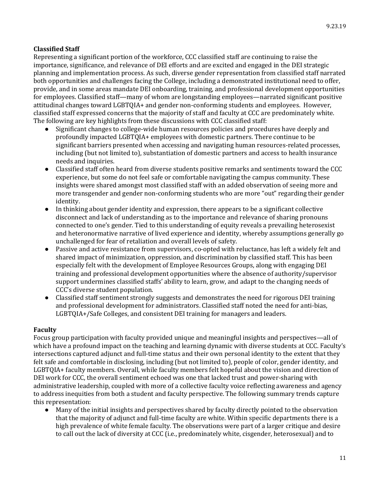#### **Classified Staff**

Representing a significant portion of the workforce, CCC classified staff are continuing to raise the importance, significance, and relevance of DEI efforts and are excited and engaged in the DEI strategic planning and implementation process. As such, diverse gender representation from classified staff narrated both opportunities and challenges facing the College, including a demonstrated institutional need to offer, provide, and in some areas mandate DEI onboarding, training, and professional development opportunities for employees. Classified staff—many of whom are longstanding employees—narrated significant positive attitudinal changes toward LGBTQIA+ and gender non-conforming students and employees. However, classified staff expressed concerns that the majority of staff and faculty at CCC are predominately white. The following are key highlights from these discussions with CCC classified staff:

- Significant changes to college-wide human resources policies and procedures have deeply and profoundly impacted LGBTQIA+ employees with domestic partners. There continue to be significant barriers presented when accessing and navigating human resources-related processes, including (but not limited to), substantiation of domestic partners and access to health insurance needs and inquiries.
- Classified staff often heard from diverse students positive remarks and sentiments toward the CCC experience, but some do not feel safe or comfortable navigating the campus community. These insights were shared amongst most classified staff with an added observation of seeing more and more transgender and gender non-conforming students who are more "out" regarding their gender identity.
- In thinking about gender identity and expression, there appears to be a significant collective disconnect and lack of understanding as to the importance and relevance of sharing pronouns connected to one's gender. Tied to this understanding of equity reveals a prevailing heterosexist and heteronormative narrative of lived experience and identity, whereby assumptions generally go unchallenged for fear of retaliation and overall levels of safety.
- Passive and active resistance from supervisors, co-opted with reluctance, has left a widely felt and shared impact of minimization, oppression, and discrimination by classified staff. This has been especially felt with the development of Employee Resources Groups, along with engaging DEI training and professional development opportunities where the absence of authority/supervisor support undermines classified staffs' ability to learn, grow, and adapt to the changing needs of CCC's diverse student population.
- Classified staff sentiment strongly suggests and demonstrates the need for rigorous DEI training and professional development for administrators. Classified staff noted the need for anti-bias, LGBTQIA+/Safe Colleges, and consistent DEI training for managers and leaders.

#### **Faculty**

Focus group participation with faculty provided unique and meaningful insights and perspectives—all of which have a profound impact on the teaching and learning dynamic with diverse students at CCC. Faculty's intersections captured adjunct and full-time status and their own personal identity to the extent that they felt safe and comfortable in disclosing, including (but not limited to), people of color, gender identity, and LGBTQIA+ faculty members. Overall, while faculty members felt hopeful about the vision and direction of DEI work for CCC, the overall sentiment echoed was one that lacked trust and power-sharing with administrative leadership, coupled with more of a collective faculty voice reflecting awareness and agency to address inequities from both a student and faculty perspective. The following summary trends capture this representation:

● Many of the initial insights and perspectives shared by faculty directly pointed to the observation that the majority of adjunct and full-time faculty are white. Within specific departments there is a high prevalence of white female faculty. The observations were part of a larger critique and desire to call out the lack of diversity at CCC (i.e., predominately white, cisgender, heterosexual) and to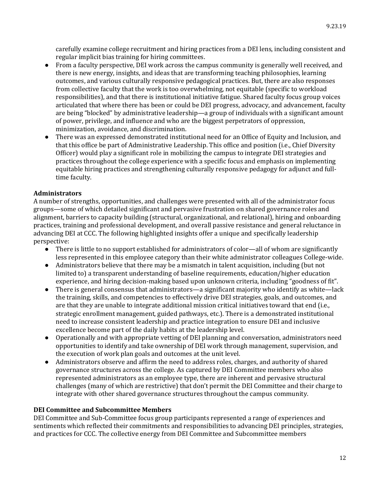carefully examine college recruitment and hiring practices from a DEI lens, including consistent and regular implicit bias training for hiring committees.

- From a faculty perspective, DEI work across the campus community is generally well received, and there is new energy, insights, and ideas that are transforming teaching philosophies, learning outcomes, and various culturally responsive pedagogical practices. But, there are also responses from collective faculty that the work is too overwhelming, not equitable (specific to workload responsibilities), and that there is institutional initiative fatigue. Shared faculty focus group voices articulated that where there has been or could be DEI progress, advocacy, and advancement, faculty are being "blocked" by administrative leadership—a group of individuals with a significant amount of power, privilege, and influence and who are the biggest perpetrators of oppression, minimization, avoidance, and discrimination.
- There was an expressed demonstrated institutional need for an Office of Equity and Inclusion, and that this office be part of Administrative Leadership. This office and position (i.e., Chief Diversity Officer) would play a significant role in mobilizing the campus to integrate DEI strategies and practices throughout the college experience with a specific focus and emphasis on implementing equitable hiring practices and strengthening culturally responsive pedagogy for adjunct and fulltime faculty.

#### **Administrators**

A number of strengths, opportunities, and challenges were presented with all of the administrator focus groups—some of which detailed significant and pervasive frustration on shared governance roles and alignment, barriers to capacity building (structural, organizational, and relational), hiring and onboarding practices, training and professional development, and overall passive resistance and general reluctance in advancing DEI at CCC. The following highlighted insights offer a unique and specifically leadership perspective:

- There is little to no support established for administrators of color—all of whom are significantly less represented in this employee category than their white administrator colleagues College-wide.
- Administrators believe that there may be a mismatch in talent acquisition, including (but not limited to) a transparent understanding of baseline requirements, education/higher education experience, and hiring decision-making based upon unknown criteria, including "goodness of fit".
- There is general consensus that administrators—a significant majority who identify as white—lack the training, skills, and competencies to effectively drive DEI strategies, goals, and outcomes, and are that they are unable to integrate additional mission critical initiatives toward that end (i.e., strategic enrollment management, guided pathways, etc.). There is a demonstrated institutional need to increase consistent leadership and practice integration to ensure DEI and inclusive excellence become part of the daily habits at the leadership level.
- Operationally and with appropriate vetting of DEI planning and conversation, administrators need opportunities to identify and take ownership of DEI work through management, supervision, and the execution of work plan goals and outcomes at the unit level.
- Administrators observe and affirm the need to address roles, charges, and authority of shared governance structures across the college. As captured by DEI Committee members who also represented administrators as an employee type, there are inherent and pervasive structural challenges (many of which are restrictive) that don't permit the DEI Committee and their charge to integrate with other shared governance structures throughout the campus community.

#### **DEI Committee and Subcommittee Members**

DEI Committee and Sub-Committee focus group participants represented a range of experiences and sentiments which reflected their commitments and responsibilities to advancing DEI principles, strategies, and practices for CCC. The collective energy from DEI Committee and Subcommittee members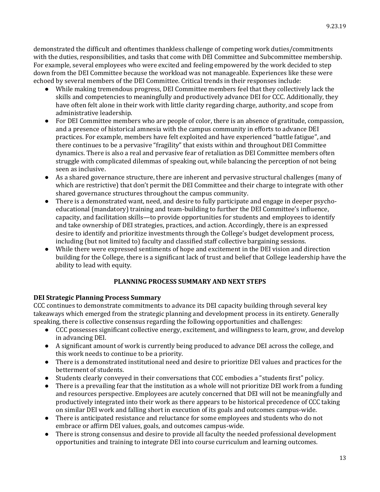demonstrated the difficult and oftentimes thankless challenge of competing work duties/commitments with the duties, responsibilities, and tasks that come with DEI Committee and Subcommittee membership. For example, several employees who were excited and feeling empowered by the work decided to step down from the DEI Committee because the workload was not manageable. Experiences like these were echoed by several members of the DEI Committee. Critical trends in their responses include:

- While making tremendous progress, DEI Committee members feel that they collectively lack the skills and competencies to meaningfully and productively advance DEI for CCC. Additionally, they have often felt alone in their work with little clarity regarding charge, authority, and scope from administrative leadership.
- For DEI Committee members who are people of color, there is an absence of gratitude, compassion, and a presence of historical amnesia with the campus community in efforts to advance DEI practices. For example, members have felt exploited and have experienced "battle fatigue", and there continues to be a pervasive "fragility" that exists within and throughout DEI Committee dynamics. There is also a real and pervasive fear of retaliation as DEI Committee members often struggle with complicated dilemmas of speaking out, while balancing the perception of not being seen as inclusive.
- As a shared governance structure, there are inherent and pervasive structural challenges (many of which are restrictive) that don't permit the DEI Committee and their charge to integrate with other shared governance structures throughout the campus community.
- There is a demonstrated want, need, and desire to fully participate and engage in deeper psychoeducational (mandatory) training and team-building to further the DEI Committee's influence, capacity, and facilitation skills—to provide opportunities for students and employees to identify and take ownership of DEI strategies, practices, and action. Accordingly, there is an expressed desire to identify and prioritize investments through the College's budget development process, including (but not limited to) faculty and classified staff collective bargaining sessions.
- While there were expressed sentiments of hope and excitement in the DEI vision and direction building for the College, there is a significant lack of trust and belief that College leadership have the ability to lead with equity.

#### **PLANNING PROCESS SUMMARY AND NEXT STEPS**

#### **DEI Strategic Planning Process Summary**

CCC continues to demonstrate commitments to advance its DEI capacity building through several key takeaways which emerged from the strategic planning and development process in its entirety. Generally speaking, there is collective consensus regarding the following opportunities and challenges:

- CCC possesses significant collective energy, excitement, and willingness to learn, grow, and develop in advancing DEI.
- A significant amount of work is currently being produced to advance DEI across the college, and this work needs to continue to be a priority.
- There is a demonstrated institutional need and desire to prioritize DEI values and practices for the betterment of students.
- Students clearly conveyed in their conversations that CCC embodies a "students first" policy.
- There is a prevailing fear that the institution as a whole will not prioritize DEI work from a funding and resources perspective. Employees are acutely concerned that DEI will not be meaningfully and productively integrated into their work as there appears to be historical precedence of CCC taking on similar DEI work and falling short in execution of its goals and outcomes campus-wide.
- There is anticipated resistance and reluctance for some employees and students who do not embrace or affirm DEI values, goals, and outcomes campus-wide.
- There is strong consensus and desire to provide all faculty the needed professional development opportunities and training to integrate DEI into course curriculum and learning outcomes.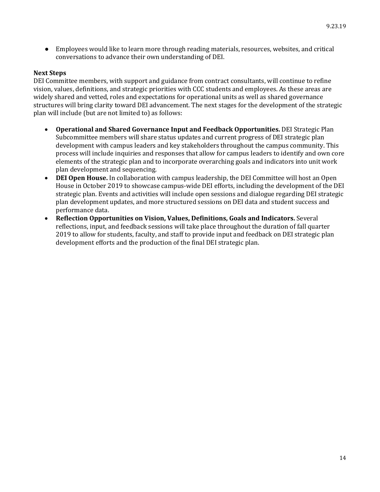● Employees would like to learn more through reading materials, resources, websites, and critical conversations to advance their own understanding of DEI.

#### **Next Steps**

DEI Committee members, with support and guidance from contract consultants, will continue to refine vision, values, definitions, and strategic priorities with CCC students and employees. As these areas are widely shared and vetted, roles and expectations for operational units as well as shared governance structures will bring clarity toward DEI advancement. The next stages for the development of the strategic plan will include (but are not limited to) as follows:

- **Operational and Shared Governance Input and Feedback Opportunities.** DEI Strategic Plan Subcommittee members will share status updates and current progress of DEI strategic plan development with campus leaders and key stakeholders throughout the campus community. This process will include inquiries and responses that allow for campus leaders to identify and own core elements of the strategic plan and to incorporate overarching goals and indicators into unit work plan development and sequencing.
- **DEI Open House.** In collaboration with campus leadership, the DEI Committee will host an Open House in October 2019 to showcase campus-wide DEI efforts, including the development of the DEI strategic plan. Events and activities will include open sessions and dialogue regarding DEI strategic plan development updates, and more structured sessions on DEI data and student success and performance data.
- **Reflection Opportunities on Vision, Values, Definitions, Goals and Indicators.** Several reflections, input, and feedback sessions will take place throughout the duration of fall quarter 2019 to allow for students, faculty, and staff to provide input and feedback on DEI strategic plan development efforts and the production of the final DEI strategic plan.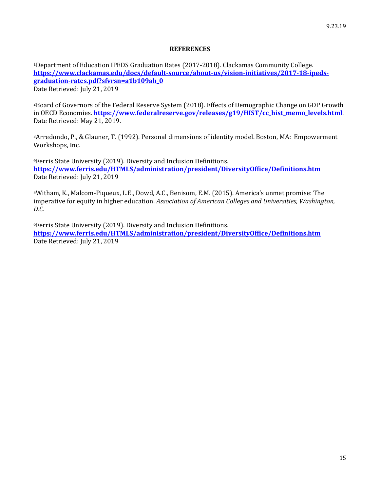#### **REFERENCES**

<sup>1</sup>Department of Education IPEDS Graduation Rates (2017-2018). Clackamas Community College. **[https://www.clackamas.edu/docs/default-source/about-us/vision-initiatives/2017-18-ipeds](https://www.clackamas.edu/docs/default-source/about-us/vision-initiatives/2017-18-ipeds-graduation-rates.pdf?sfvrsn=a1b109ab_0)[graduation-rates.pdf?sfvrsn=a1b109ab\\_0](https://www.clackamas.edu/docs/default-source/about-us/vision-initiatives/2017-18-ipeds-graduation-rates.pdf?sfvrsn=a1b109ab_0)** Date Retrieved: July 21, 2019

<sup>2</sup>Board of Governors of the Federal Reserve System (2018). Effects of Demographic Change on GDP Growth in OECD Economies. **[https://www.federalreserve.gov/releases/g19/HIST/cc\\_hist\\_memo\\_levels.html](https://www.federalreserve.gov/releases/g19/HIST/cc_hist_memo_levels.html)**. Date Retrieved: May 21, 2019.

<sup>3</sup>Arredondo, P., & Glauner, T. (1992). Personal dimensions of identity model. Boston, MA: Empowerment Workshops, Inc.

<sup>4</sup>Ferris State University (2019). Diversity and Inclusion Definitions. **<https://www.ferris.edu/HTMLS/administration/president/DiversityOffice/Definitions.htm>** Date Retrieved: July 21, 2019

<sup>5</sup>Witham, K., Malcom-Piqueux, L.E., Dowd, A.C., Benisom, E.M. (2015). America's unmet promise: The imperative for equity in higher education. *Association of American Colleges and Universities, Washington, D.C.*

<sup>6</sup>Ferris State University (2019). Diversity and Inclusion Definitions. **<https://www.ferris.edu/HTMLS/administration/president/DiversityOffice/Definitions.htm>** Date Retrieved: July 21, 2019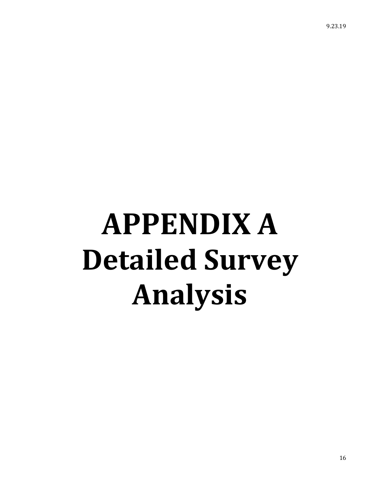9.23.19

# **APPENDIX A Detailed Survey Analysis**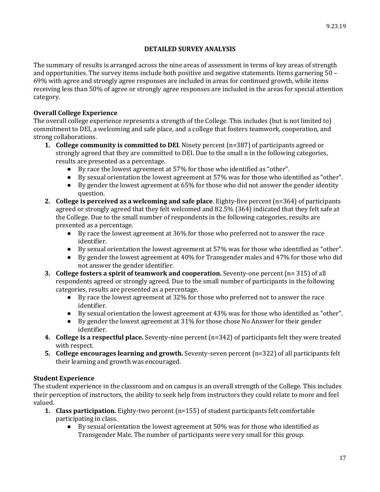#### **DETAILED SURVEY ANALYSIS**

The summary of results is arranged across the nine areas of assessment in terms of key areas of strength and opportunities. The survey items include both positive and negative statements. Items garnering 50 – 69% with agree and strongly agree responses are included in areas for continued growth, while items receiving less than 50% of agree or strongly agree responses are included in the areas for special attention category.

#### **Overall College Experience**

The overall college experience represents a strength of the College. This includes (but is not limited to) commitment to DEI, a welcoming and safe place, and a college that fosters teamwork, cooperation, and strong collaborations.

- **1. College community is committed to DEI**. Ninety percent (n=387) of participants agreed or strongly agreed that they are committed to DEI. Due to the small n in the following categories, results are presented as a percentage.
	- By race the lowest agreement at 57% for those who identified as "other".
	- By sexual orientation the lowest agreement at 57% was for those who identified as "other".
	- By gender the lowest agreement at 65% for those who did not answer the gender identity question.
- **2. College is perceived as a welcoming and safe place**. Eighty-five percent (n=364) of participants agreed or strongly agreed that they felt welcomed and 82.5% (364) indicated that they felt safe at the College. Due to the small number of respondents in the following categories, results are presented as a percentage.
	- By race the lowest agreement at 36% for those who preferred not to answer the race identifier.
	- By sexual orientation the lowest agreement at 57% was for those who identified as "other".
	- By gender the lowest agreement at 40% for Transgender males and 47% for those who did not answer the gender identifier.
- **3. College fosters a spirit of teamwork and cooperation.** Seventy-one percent (n= 315) of all respondents agreed or strongly agreed. Due to the small number of participants in the following categories, results are presented as a percentage.
	- By race the lowest agreement at 32% for those who preferred not to answer the race identifier.
	- By sexual orientation the lowest agreement at 43% was for those who identified as "other".
	- By gender the lowest agreement at 31% for those chose No Answer for their gender identifier.
- **4. College is a respectful place.** Seventy-nine percent (n=342) of participants felt they were treated with respect.
- **5. College encourages learning and growth.** Seventy-seven percent (n=322) of all participants felt their learning and growth was encouraged.

#### **Student Experience**

The student experience in the classroom and on campus is an overall strength of the College. This includes their perception of instructors, the ability to seek help from instructors they could relate to more and feel valued.

- **1. Class participation.** Eighty-two percent (n=155) of student participants felt comfortable participating in class.
	- By sexual orientation the lowest agreement at 50% was for those who identified as Transgender Male. The number of participants were very small for this group.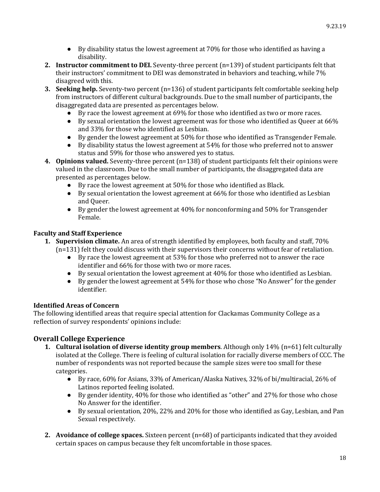- $\bullet$  By disability status the lowest agreement at 70% for those who identified as having a disability.
- **2. Instructor commitment to DEI.** Seventy-three percent (n=139) of student participants felt that their instructors' commitment to DEI was demonstrated in behaviors and teaching, while 7% disagreed with this.
- **3. Seeking help.** Seventy-two percent (n=136) of student participants felt comfortable seeking help from instructors of different cultural backgrounds. Due to the small number of participants, the disaggregated data are presented as percentages below.
	- By race the lowest agreement at 69% for those who identified as two or more races.
	- By sexual orientation the lowest agreement was for those who identified as Queer at 66% and 33% for those who identified as Lesbian.
	- By gender the lowest agreement at 50% for those who identified as Transgender Female.
	- By disability status the lowest agreement at 54% for those who preferred not to answer status and 59% for those who answered yes to status.
- **4. Opinions valued.** Seventy-three percent (n=138) of student participants felt their opinions were valued in the classroom. Due to the small number of participants, the disaggregated data are presented as percentages below.
	- By race the lowest agreement at 50% for those who identified as Black.
	- $\bullet$  By sexual orientation the lowest agreement at 66% for those who identified as Lesbian and Queer.
	- By gender the lowest agreement at 40% for nonconforming and 50% for Transgender Female.

#### **Faculty and Staff Experience**

- **1. Supervision climate.** An area of strength identified by employees, both faculty and staff, 70% (n=131) felt they could discuss with their supervisors their concerns without fear of retaliation.
	- By race the lowest agreement at 53% for those who preferred not to answer the race identifier and 66% for those with two or more races.
	- $\bullet$  By sexual orientation the lowest agreement at 40% for those who identified as Lesbian.
	- By gender the lowest agreement at 54% for those who chose "No Answer" for the gender identifier.

#### **Identified Areas of Concern**

The following identified areas that require special attention for Clackamas Community College as a reflection of survey respondents' opinions include:

#### **Overall College Experience**

- **1. Cultural isolation of diverse identity group members**. Although only 14% (n=61) felt culturally isolated at the College. There is feeling of cultural isolation for racially diverse members of CCC. The number of respondents was not reported because the sample sizes were too small for these categories.
	- By race, 60% for Asians, 33% of American/Alaska Natives, 32% of bi/multiracial, 26% of Latinos reported feeling isolated.
	- By gender identity, 40% for those who identified as "other" and 27% for those who chose No Answer for the identifier.
	- By sexual orientation, 20%, 22% and 20% for those who identified as Gay, Lesbian, and Pan Sexual respectively.
- **2. Avoidance of college spaces.** Sixteen percent (n=68) of participants indicated that they avoided certain spaces on campus because they felt uncomfortable in those spaces.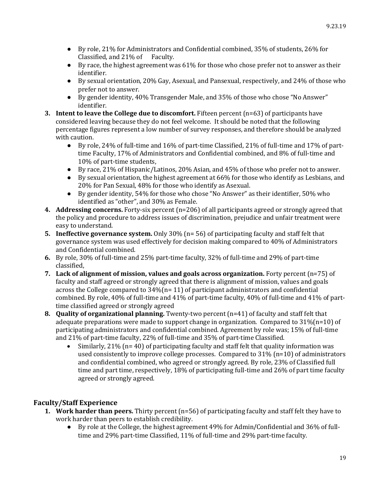- By role, 21% for Administrators and Confidential combined, 35% of students, 26% for Classified, and 21% of Faculty.
- By race, the highest agreement was 61% for those who chose prefer not to answer as their identifier.
- By sexual orientation, 20% Gay, Asexual, and Pansexual, respectively, and 24% of those who prefer not to answer.
- By gender identity, 40% Transgender Male, and 35% of those who chose "No Answer" identifier.
- **3. Intent to leave the College due to discomfort.** Fifteen percent (n=63) of participants have considered leaving because they do not feel welcome. It should be noted that the following percentage figures represent a low number of survey responses, and therefore should be analyzed with caution.
	- By role, 24% of full-time and 16% of part-time Classified, 21% of full-time and 17% of parttime Faculty, 17% of Administrators and Confidential combined, and 8% of full-time and 10% of part-time students,
	- By race, 21% of Hispanic/Latinos, 20% Asian, and 45% of those who prefer not to answer.
	- By sexual orientation, the highest agreement at 66% for those who identify as Lesbians, and 20% for Pan Sexual, 48% for those who identify as Asexual.
	- By gender identity, 54% for those who chose "No Answer" as their identifier, 50% who identified as "other", and 30% as Female.
- **4. Addressing concerns.** Forty-six percent (n=206) of all participants agreed or strongly agreed that the policy and procedure to address issues of discrimination, prejudice and unfair treatment were easy to understand.
- **5. Ineffective governance system.** Only 30% (n= 56) of participating faculty and staff felt that governance system was used effectively for decision making compared to 40% of Administrators and Confidential combined.
- **6.** By role, 30% of full-time and 25% part-time faculty, 32% of full-time and 29% of part-time classified,
- **7. Lack of alignment of mission, values and goals across organization.** Forty percent (n=75) of faculty and staff agreed or strongly agreed that there is alignment of mission, values and goals across the College compared to  $34\frac{1}{1}$  of participant administrators and confidential combined. By role, 40% of full-time and 41% of part-time faculty, 40% of full-time and 41% of parttime classified agreed or strongly agreed
- **8. Quality of organizational planning.** Twenty-two percent (n=41) of faculty and staff felt that adequate preparations were made to support change in organization. Compared to  $31\%(n=10)$  of participating administrators and confidential combined. Agreement by role was; 15% of full-time and 21% of part-time faculty, 22% of full-time and 35% of part-time Classified.
	- Similarly, 21% (n= 40) of participating faculty and staff felt that quality information was used consistently to improve college processes. Compared to  $31\%$  (n=10) of administrators and confidential combined, who agreed or strongly agreed. By role, 23% of Classified full time and part time, respectively, 18% of participating full-time and 26% of part time faculty agreed or strongly agreed.

#### **Faculty/Staff Experience**

- **1. Work harder than peers.** Thirty percent (n=56) of participating faculty and staff felt they have to work harder than peers to establish credibility.
	- By role at the College, the highest agreement 49% for Admin/Confidential and 36% of fulltime and 29% part-time Classified, 11% of full-time and 29% part-time faculty.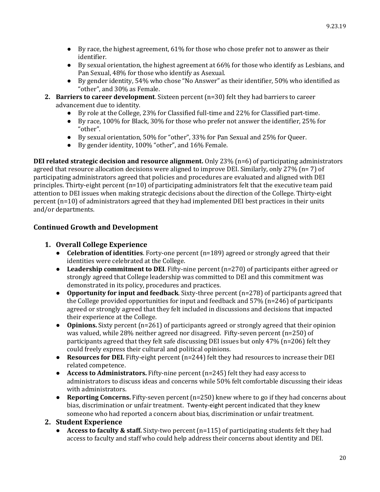- $\bullet$  By race, the highest agreement, 61% for those who chose prefer not to answer as their identifier.
- By sexual orientation, the highest agreement at 66% for those who identify as Lesbians, and Pan Sexual, 48% for those who identify as Asexual.
- By gender identity, 54% who chose "No Answer" as their identifier, 50% who identified as "other", and 30% as Female.
- **2. Barriers to career development**. Sixteen percent (n=30) felt they had barriers to career advancement due to identity.
	- By role at the College, 23% for Classified full-time and 22% for Classified part-time.
	- By race, 100% for Black, 30% for those who prefer not answer the identifier, 25% for "other".
	- By sexual orientation, 50% for "other", 33% for Pan Sexual and 25% for Queer.
	- By gender identity, 100% "other", and 16% Female.

**DEI related strategic decision and resource alignment.** Only 23% (n=6) of participating administrators agreed that resource allocation decisions were aligned to improve DEI. Similarly, only 27% (n= 7) of participating administrators agreed that policies and procedures are evaluated and aligned with DEI principles. Thirty-eight percent  $(n=10)$  of participating administrators felt that the executive team paid attention to DEI issues when making strategic decisions about the direction of the College. Thirty-eight percent (n=10) of administrators agreed that they had implemented DEI best practices in their units and/or departments.

#### **Continued Growth and Development**

#### **1. Overall College Experience**

- **Celebration of identities**. Forty-one percent (n=189) agreed or strongly agreed that their identities were celebrated at the College.
- **Leadership commitment to DEI**. Fifty-nine percent (n=270) of participants either agreed or strongly agreed that College leadership was committed to DEI and this commitment was demonstrated in its policy, procedures and practices.
- **Opportunity for input and feedback**. Sixty-three percent (n=278) of participants agreed that the College provided opportunities for input and feedback and 57% (n=246) of participants agreed or strongly agreed that they felt included in discussions and decisions that impacted their experience at the College.
- **Opinions.** Sixty percent (n=261) of participants agreed or strongly agreed that their opinion was valued, while 28% neither agreed nor disagreed. Fifty-seven percent (n=250) of participants agreed that they felt safe discussing DEI issues but only 47% (n=206) felt they could freely express their cultural and political opinions.
- **Resources for DEI.** Fifty-eight percent (n=244) felt they had resources to increase their DEI related competence.
- **Access to Administrators.** Fifty-nine percent (n=245) felt they had easy access to administrators to discuss ideas and concerns while 50% felt comfortable discussing their ideas with administrators.
- **Reporting Concerns.** Fifty-seven percent (n=250) knew where to go if they had concerns about bias, discrimination or unfair treatment. Twenty-eight percent indicated that they knew someone who had reported a concern about bias, discrimination or unfair treatment.

#### **2. Student Experience**

● **Access to faculty & staff.** Sixty-two percent (n=115) of participating students felt they had access to faculty and staff who could help address their concerns about identity and DEI.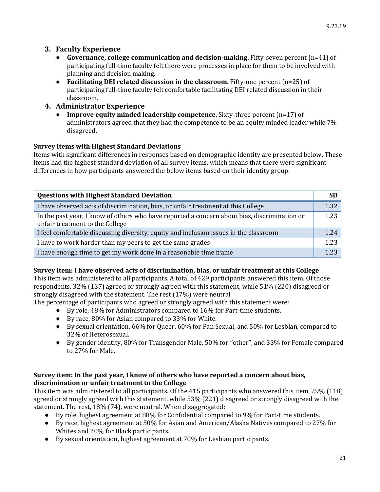#### **3. Faculty Experience**

- **Governance, college communication and decision-making.** Fifty-seven percent (n=41) of participating full-time faculty felt there were processes in place for them to be involved with planning and decision making.
- **Facilitating DEI related discussion in the classroom.** Fifty-one percent (n=25) of participating full-time faculty felt comfortable facilitating DEI related discussion in their classroom.
- **4. Administrator Experience**
	- **Improve equity minded leadership competence.** Sixty-three percent (n=17) of administrators agreed that they had the competence to be an equity minded leader while 7% disagreed.

#### **Survey Items with Highest Standard Deviations**

Items with significant differences in responses based on demographic identity are presented below. These items had the highest standard deviation of all survey items, which means that there were significant differences in how participants answered the below items based on their identity group.

| <b>Questions with Highest Standard Deviation</b>                                                                                | <b>SD</b> |
|---------------------------------------------------------------------------------------------------------------------------------|-----------|
| I have observed acts of discrimination, bias, or unfair treatment at this College                                               | 1.32      |
| In the past year, I know of others who have reported a concern about bias, discrimination or<br>unfair treatment to the College | 1.23      |
| I feel comfortable discussing diversity, equity and inclusion issues in the classroom                                           | 1.24      |
| I have to work harder than my peers to get the same grades                                                                      | 1.23      |
| I have enough time to get my work done in a reasonable time frame                                                               | 1.23      |

#### **Survey item: I have observed acts of discrimination, bias, or unfair treatment at this College**

This item was administered to all participants. A total of 429 participants answered this item. Of those respondents, 32% (137) agreed or strongly agreed with this statement, while 51% (220) disagreed or strongly disagreed with the statement. The rest (17%) were neutral.

The percentage of participants who agreed or strongly agreed with this statement were:

- By role, 48% for Administrators compared to 16% for Part-time students.
- By race, 80% for Asian compared to 33% for White.
- By sexual orientation, 66% for Queer, 60% for Pan Sexual, and 50% for Lesbian, compared to 32% of Heterosexual.
- By gender identity, 80% for Transgender Male, 50% for "other", and 33% for Female compared to 27% for Male.

#### **Survey item: In the past year, I know of others who have reported a concern about bias, discrimination or unfair treatment to the College**

This item was administered to all participants. Of the 415 participants who answered this item, 29% (118) agreed or strongly agreed with this statement, while 53% (221) disagreed or strongly disagreed with the statement. The rest, 18% (74), were neutral. When disaggregated:

- By role, highest agreement at 88% for Confidential compared to 9% for Part-time students.
- By race, highest agreement at 50% for Asian and American/Alaska Natives compared to 27% for Whites and 20% for Black participants.
- By sexual orientation, highest agreement at 70% for Lesbian participants.